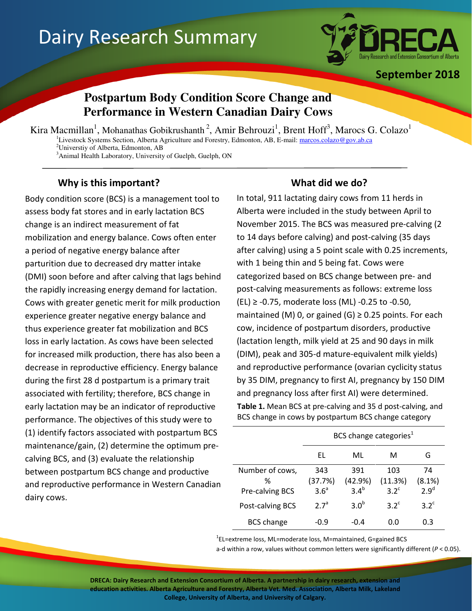# Dairy Research Summary



September 2018

# **Postpartum Body Condition Score Change and Performance in Western Canadian Dairy Cows**

Kira Macmillan<sup>1</sup>, Mohanathas Gobikrushanth<sup>2</sup>, Amir Behrouzi<sup>1</sup>, Brent Hoff<sup>3</sup>, Marocs G. Colazo<sup>1</sup> <sup>1</sup>Livestock Systems Section, Alberta Agriculture and Forestry, Edmonton, AB, E-mail: marcos.colazo@gov.ab.ca <sup>2</sup>Universtiy of Alberta, Edmonton, AB

<sup>3</sup>Animal Health Laboratory, University of Guelph, Guelph, ON

## Why is this important? What did we do?

í

Body condition score (BCS) is a management tool to assess body fat stores and in early lactation BCS change is an indirect measurement of fat mobilization and energy balance. Cows often enter a period of negative energy balance after parturition due to decreased dry matter intake (DMI) soon before and after calving that lags behind the rapidly increasing energy demand for lactation. Cows with greater genetic merit for milk production experience greater negative energy balance and thus experience greater fat mobilization and BCS loss in early lactation. As cows have been selected for increased milk production, there has also been a decrease in reproductive efficiency. Energy balance during the first 28 d postpartum is a primary trait associated with fertility; therefore, BCS change in early lactation may be an indicator of reproductive performance. The objectives of this study were to (1) identify factors associated with postpartum BCS maintenance/gain, (2) determine the optimum precalving BCS, and (3) evaluate the relationship between postpartum BCS change and productive and reproductive performance in Western Canadian dairy cows.

In total, 911 lactating dairy cows from 11 herds in Alberta were included in the study between April to November 2015. The BCS was measured pre-calving (2 to 14 days before calving) and post-calving (35 days after calving) using a 5 point scale with 0.25 increments, with 1 being thin and 5 being fat. Cows were categorized based on BCS change between pre- and post-calving measurements as follows: extreme loss (EL) ≥ -0.75, moderate loss (ML) -0.25 to -0.50, maintained (M) 0, or gained (G)  $\geq$  0.25 points. For each cow, incidence of postpartum disorders, productive (lactation length, milk yield at 25 and 90 days in milk (DIM), peak and 305-d mature-equivalent milk yields) and reproductive performance (ovarian cyclicity status by 35 DIM, pregnancy to first AI, pregnancy by 150 DIM and pregnancy loss after first AI) were determined. Table 1. Mean BCS at pre-calving and 35 d post-calving, and BCS change in cows by postpartum BCS change category

|                                     | BCS change categories <sup>1</sup> |                           |                                 |                                  |
|-------------------------------------|------------------------------------|---------------------------|---------------------------------|----------------------------------|
|                                     | FL                                 | ML                        | м                               | G                                |
| Number of cows,<br>℅                | 343<br>(37.7%)<br>3.6 <sup>a</sup> | 391<br>(42.9%)<br>$3.4^b$ | 103<br>(11.3%)<br>$3.2^{\circ}$ | 74<br>(8.1%)<br>2.9 <sup>d</sup> |
| Pre-calving BCS<br>Post-calving BCS | 2.7 <sup>a</sup>                   | 3.0 <sup>b</sup>          | $3.2^{\circ}$                   | $3.2^{\circ}$                    |
| <b>BCS</b> change                   | -0.9                               | -0.4                      | 0.0                             | 0.3                              |

<sup>1</sup>EL=extreme loss, ML=moderate loss, M=maintained, G=gained BCS

a-d within a row, values without common letters were significantly different ( $P < 0.05$ ).